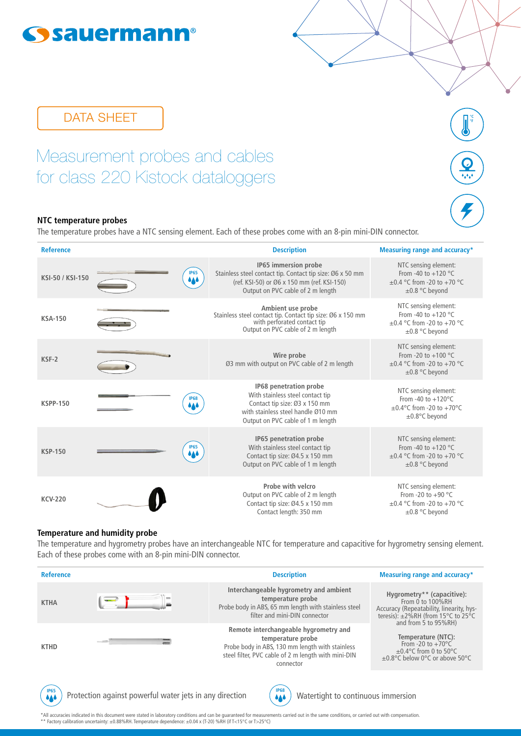# **Sysauermann®**

# DATA SHEET

Measurement probes and cables for class 220 Kistock dataloggers

## **NTC temperature probes**

The temperature probes have a NTC sensing element. Each of these probes come with an 8-pin mini-DIN connector.

**°F**

| <b>Reference</b> |                    | <b>Description</b>                                                                                                                                                     | Measuring range and accuracy*                                                                                  |
|------------------|--------------------|------------------------------------------------------------------------------------------------------------------------------------------------------------------------|----------------------------------------------------------------------------------------------------------------|
| KSI-50 / KSI-150 | <b>IP65</b><br>444 | IP65 immersion probe<br>Stainless steel contact tip. Contact tip size: Ø6 x 50 mm<br>(ref. KSI-50) or Ø6 x 150 mm (ref. KSI-150)<br>Output on PVC cable of 2 m length  | NTC sensing element:<br>From -40 to $+120$ °C<br>$\pm 0.4$ °C from -20 to +70 °C<br>$\pm$ 0.8 °C beyond        |
| <b>KSA-150</b>   |                    | Ambient use probe<br>Stainless steel contact tip. Contact tip size: Ø6 x 150 mm<br>with perforated contact tip<br>Output on PVC cable of 2 m length                    | NTC sensing element:<br>From -40 to $+120$ °C<br>$\pm 0.4$ °C from -20 to +70 °C<br>$\pm 0.8$ °C beyond        |
| KSF-2            |                    | Wire probe<br>Ø3 mm with output on PVC cable of 2 m length                                                                                                             | NTC sensing element:<br>From -20 to $+100$ °C<br>$\pm 0.4$ °C from -20 to +70 °C<br>$\pm 0.8$ °C beyond        |
| <b>KSPP-150</b>  | <b>IP68</b><br>646 | IP68 penetration probe<br>With stainless steel contact tip<br>Contact tip size: Ø3 x 150 mm<br>with stainless steel handle Ø10 mm<br>Output on PVC cable of 1 m length | NTC sensing element:<br>From -40 to $+120^{\circ}$ C<br>$\pm 0.4$ °C from -20 to +70°C<br>±0.8°C beyond        |
| <b>KSP-150</b>   | <b>IP65</b><br>444 | IP65 penetration probe<br>With stainless steel contact tip<br>Contact tip size: Ø4.5 x 150 mm<br>Output on PVC cable of 1 m length                                     | NTC sensing element:<br>From -40 to $+120$ °C<br>$\pm 0.4$ °C from -20 to +70 °C<br>$\pm 0.8$ °C beyond        |
| <b>KCV-220</b>   |                    | Probe with velcro<br>Output on PVC cable of 2 m length<br>Contact tip size: Ø4.5 x 150 mm<br>Contact length: 350 mm                                                    | NTC sensing element:<br>From -20 to +90 $^{\circ}$ C<br>$\pm 0.4$ °C from -20 to +70 °C<br>$\pm 0.8$ °C beyond |

#### **Temperature and humidity probe**

The temperature and hygrometry probes have an interchangeable NTC for temperature and capacitive for hygrometry sensing element. Each of these probes come with an 8-pin mini-DIN connector.

| <b>Reference</b>          |                                                         | <b>Description</b>                                                                                                                                                                | Measuring range and accuracy*                                                                                                                    |
|---------------------------|---------------------------------------------------------|-----------------------------------------------------------------------------------------------------------------------------------------------------------------------------------|--------------------------------------------------------------------------------------------------------------------------------------------------|
| <b>KTHA</b>               |                                                         | Interchangeable hygrometry and ambient<br>temperature probe<br>Probe body in ABS, 65 mm length with stainless steel<br>filter and mini-DIN connector                              | Hygrometry** (capacitive):<br>From 0 to 100%RH<br>Accuracy (Repeatability, linearity, hys-<br>teresis): $\pm 2\%$ RH (from 15°C to 25°C          |
| <b>KTHD</b>               |                                                         | Remote interchangeable hygrometry and<br>temperature probe<br>Probe body in ABS, 130 mm length with stainless<br>steel filter, PVC cable of 2 m length with mini-DIN<br>connector | and from 5 to 95%RH)<br>Temperature (NTC):<br>From -20 to $+70^{\circ}$ C<br>$\pm 0.4$ °C from 0 to 50°C<br>$\pm 0.8$ °C below 0°C or above 50°C |
| <b>IP65</b><br><b>AA4</b> | Protection against powerful water jets in any direction | <b>IP68</b><br>Watertight to continuous immersion<br>646                                                                                                                          |                                                                                                                                                  |

\*All accuracies indicated in this document were stated in laboratory conditions and can be guaranteed for measurements carried out in the same conditions, or carried out with compensation.<br>\*\* Factory calibration uncertaint